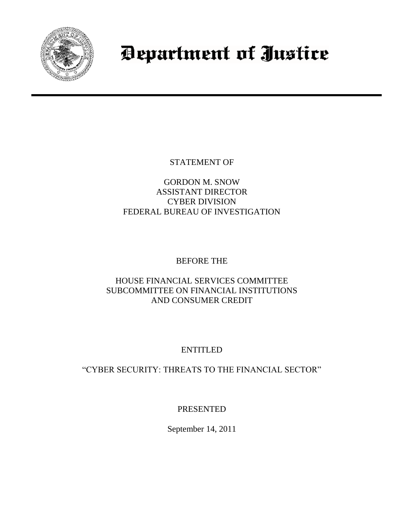

# Department of Justice

STATEMENT OF

GORDON M. SNOW ASSISTANT DIRECTOR CYBER DIVISION FEDERAL BUREAU OF INVESTIGATION

## BEFORE THE

### HOUSE FINANCIAL SERVICES COMMITTEE SUBCOMMITTEE ON FINANCIAL INSTITUTIONS AND CONSUMER CREDIT

# ENTITLED

## "CYBER SECURITY: THREATS TO THE FINANCIAL SECTOR"

PRESENTED

September 14, 2011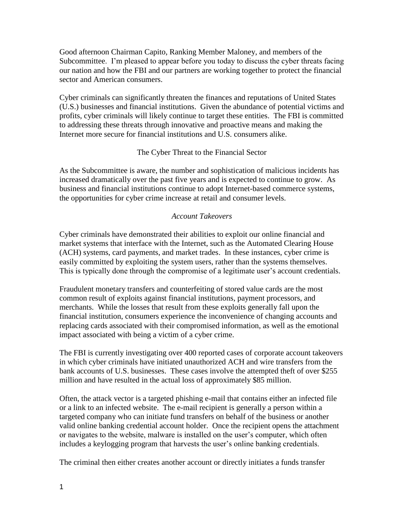Good afternoon Chairman Capito, Ranking Member Maloney, and members of the Subcommittee. I'm pleased to appear before you today to discuss the cyber threats facing our nation and how the FBI and our partners are working together to protect the financial sector and American consumers.

Cyber criminals can significantly threaten the finances and reputations of United States (U.S.) businesses and financial institutions. Given the abundance of potential victims and profits, cyber criminals will likely continue to target these entities. The FBI is committed to addressing these threats through innovative and proactive means and making the Internet more secure for financial institutions and U.S. consumers alike.

#### The Cyber Threat to the Financial Sector

As the Subcommittee is aware, the number and sophistication of malicious incidents has increased dramatically over the past five years and is expected to continue to grow. As business and financial institutions continue to adopt Internet-based commerce systems, the opportunities for cyber crime increase at retail and consumer levels.

#### *Account Takeovers*

Cyber criminals have demonstrated their abilities to exploit our online financial and market systems that interface with the Internet, such as the Automated Clearing House (ACH) systems, card payments, and market trades. In these instances, cyber crime is easily committed by exploiting the system users, rather than the systems themselves. This is typically done through the compromise of a legitimate user's account credentials.

Fraudulent monetary transfers and counterfeiting of stored value cards are the most common result of exploits against financial institutions, payment processors, and merchants. While the losses that result from these exploits generally fall upon the financial institution, consumers experience the inconvenience of changing accounts and replacing cards associated with their compromised information, as well as the emotional impact associated with being a victim of a cyber crime.

The FBI is currently investigating over 400 reported cases of corporate account takeovers in which cyber criminals have initiated unauthorized ACH and wire transfers from the bank accounts of U.S. businesses. These cases involve the attempted theft of over \$255 million and have resulted in the actual loss of approximately \$85 million.

Often, the attack vector is a targeted phishing e-mail that contains either an infected file or a link to an infected website. The e-mail recipient is generally a person within a targeted company who can initiate fund transfers on behalf of the business or another valid online banking credential account holder. Once the recipient opens the attachment or navigates to the website, malware is installed on the user's computer, which often includes a keylogging program that harvests the user's online banking credentials.

The criminal then either creates another account or directly initiates a funds transfer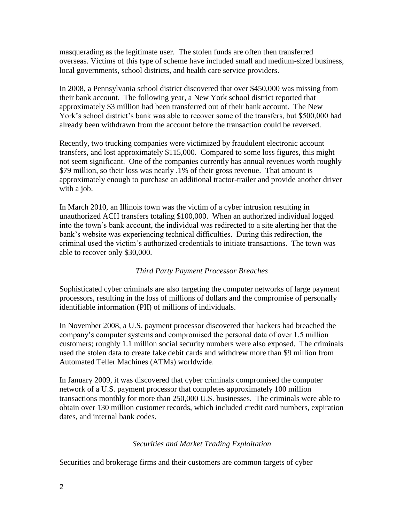masquerading as the legitimate user. The stolen funds are often then transferred overseas. Victims of this type of scheme have included small and medium-sized business, local governments, school districts, and health care service providers.

In 2008, a Pennsylvania school district discovered that over \$450,000 was missing from their bank account. The following year, a New York school district reported that approximately \$3 million had been transferred out of their bank account. The New York's school district's bank was able to recover some of the transfers, but \$500,000 had already been withdrawn from the account before the transaction could be reversed.

Recently, two trucking companies were victimized by fraudulent electronic account transfers, and lost approximately \$115,000. Compared to some loss figures, this might not seem significant. One of the companies currently has annual revenues worth roughly \$79 million, so their loss was nearly .1% of their gross revenue. That amount is approximately enough to purchase an additional tractor-trailer and provide another driver with a job.

In March 2010, an Illinois town was the victim of a cyber intrusion resulting in unauthorized ACH transfers totaling \$100,000. When an authorized individual logged into the town's bank account, the individual was redirected to a site alerting her that the bank's website was experiencing technical difficulties. During this redirection, the criminal used the victim's authorized credentials to initiate transactions. The town was able to recover only \$30,000.

#### *Third Party Payment Processor Breaches*

Sophisticated cyber criminals are also targeting the computer networks of large payment processors, resulting in the loss of millions of dollars and the compromise of personally identifiable information (PII) of millions of individuals.

In November 2008, a U.S. payment processor discovered that hackers had breached the company's computer systems and compromised the personal data of over 1.5 million customers; roughly 1.1 million social security numbers were also exposed. The criminals used the stolen data to create fake debit cards and withdrew more than \$9 million from Automated Teller Machines (ATMs) worldwide.

In January 2009, it was discovered that cyber criminals compromised the computer network of a U.S. payment processor that completes approximately 100 million transactions monthly for more than 250,000 U.S. businesses. The criminals were able to obtain over 130 million customer records, which included credit card numbers, expiration dates, and internal bank codes.

#### *Securities and Market Trading Exploitation*

Securities and brokerage firms and their customers are common targets of cyber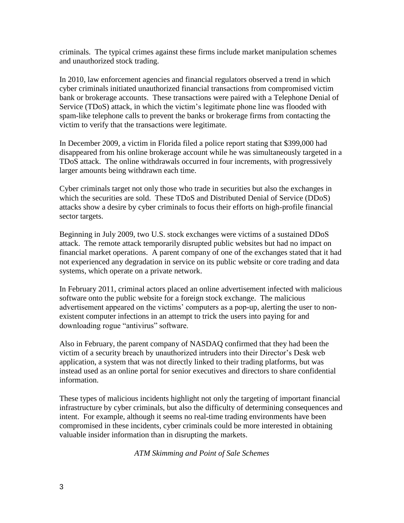criminals. The typical crimes against these firms include market manipulation schemes and unauthorized stock trading.

In 2010, law enforcement agencies and financial regulators observed a trend in which cyber criminals initiated unauthorized financial transactions from compromised victim bank or brokerage accounts. These transactions were paired with a Telephone Denial of Service (TDoS) attack, in which the victim's legitimate phone line was flooded with spam-like telephone calls to prevent the banks or brokerage firms from contacting the victim to verify that the transactions were legitimate.

In December 2009, a victim in Florida filed a police report stating that \$399,000 had disappeared from his online brokerage account while he was simultaneously targeted in a TDoS attack. The online withdrawals occurred in four increments, with progressively larger amounts being withdrawn each time.

Cyber criminals target not only those who trade in securities but also the exchanges in which the securities are sold. These TDoS and Distributed Denial of Service (DDoS) attacks show a desire by cyber criminals to focus their efforts on high-profile financial sector targets.

Beginning in July 2009, two U.S. stock exchanges were victims of a sustained DDoS attack. The remote attack temporarily disrupted public websites but had no impact on financial market operations. A parent company of one of the exchanges stated that it had not experienced any degradation in service on its public website or core trading and data systems, which operate on a private network.

In February 2011, criminal actors placed an online advertisement infected with malicious software onto the public website for a foreign stock exchange. The malicious advertisement appeared on the victims' computers as a pop-up, alerting the user to nonexistent computer infections in an attempt to trick the users into paying for and downloading rogue "antivirus" software.

Also in February, the parent company of NASDAQ confirmed that they had been the victim of a security breach by unauthorized intruders into their Director's Desk web application, a system that was not directly linked to their trading platforms, but was instead used as an online portal for senior executives and directors to share confidential information.

These types of malicious incidents highlight not only the targeting of important financial infrastructure by cyber criminals, but also the difficulty of determining consequences and intent. For example, although it seems no real-time trading environments have been compromised in these incidents, cyber criminals could be more interested in obtaining valuable insider information than in disrupting the markets.

*ATM Skimming and Point of Sale Schemes*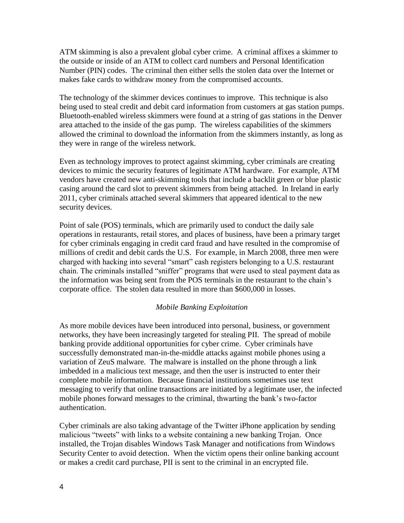ATM skimming is also a prevalent global cyber crime. A criminal affixes a skimmer to the outside or inside of an ATM to collect card numbers and Personal Identification Number (PIN) codes. The criminal then either sells the stolen data over the Internet or makes fake cards to withdraw money from the compromised accounts.

The technology of the skimmer devices continues to improve. This technique is also being used to steal credit and debit card information from customers at gas station pumps. Bluetooth-enabled wireless skimmers were found at a string of gas stations in the Denver area attached to the inside of the gas pump. The wireless capabilities of the skimmers allowed the criminal to download the information from the skimmers instantly, as long as they were in range of the wireless network.

Even as technology improves to protect against skimming, cyber criminals are creating devices to mimic the security features of legitimate ATM hardware. For example, ATM vendors have created new anti-skimming tools that include a backlit green or blue plastic casing around the card slot to prevent skimmers from being attached. In Ireland in early 2011, cyber criminals attached several skimmers that appeared identical to the new security devices.

Point of sale (POS) terminals, which are primarily used to conduct the daily sale operations in restaurants, retail stores, and places of business, have been a primary target for cyber criminals engaging in credit card fraud and have resulted in the compromise of millions of credit and debit cards the U.S. For example, in March 2008, three men were charged with hacking into several "smart" cash registers belonging to a U.S. restaurant chain. The criminals installed "sniffer" programs that were used to steal payment data as the information was being sent from the POS terminals in the restaurant to the chain's corporate office. The stolen data resulted in more than \$600,000 in losses.

#### *Mobile Banking Exploitation*

As more mobile devices have been introduced into personal, business, or government networks, they have been increasingly targeted for stealing PII. The spread of mobile banking provide additional opportunities for cyber crime. Cyber criminals have successfully demonstrated man-in-the-middle attacks against mobile phones using a variation of ZeuS malware. The malware is installed on the phone through a link imbedded in a malicious text message, and then the user is instructed to enter their complete mobile information. Because financial institutions sometimes use text messaging to verify that online transactions are initiated by a legitimate user, the infected mobile phones forward messages to the criminal, thwarting the bank's two-factor authentication.

Cyber criminals are also taking advantage of the Twitter iPhone application by sending malicious "tweets" with links to a website containing a new banking Trojan. Once installed, the Trojan disables Windows Task Manager and notifications from Windows Security Center to avoid detection. When the victim opens their online banking account or makes a credit card purchase, PII is sent to the criminal in an encrypted file.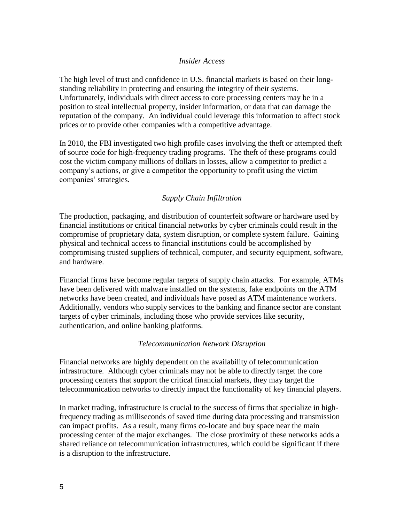#### *Insider Access*

The high level of trust and confidence in U.S. financial markets is based on their longstanding reliability in protecting and ensuring the integrity of their systems. Unfortunately, individuals with direct access to core processing centers may be in a position to steal intellectual property, insider information, or data that can damage the reputation of the company. An individual could leverage this information to affect stock prices or to provide other companies with a competitive advantage.

In 2010, the FBI investigated two high profile cases involving the theft or attempted theft of source code for high-frequency trading programs. The theft of these programs could cost the victim company millions of dollars in losses, allow a competitor to predict a company's actions, or give a competitor the opportunity to profit using the victim companies' strategies.

#### *Supply Chain Infiltration*

The production, packaging, and distribution of counterfeit software or hardware used by financial institutions or critical financial networks by cyber criminals could result in the compromise of proprietary data, system disruption, or complete system failure. Gaining physical and technical access to financial institutions could be accomplished by compromising trusted suppliers of technical, computer, and security equipment, software, and hardware.

Financial firms have become regular targets of supply chain attacks. For example, ATMs have been delivered with malware installed on the systems, fake endpoints on the ATM networks have been created, and individuals have posed as ATM maintenance workers. Additionally, vendors who supply services to the banking and finance sector are constant targets of cyber criminals, including those who provide services like security, authentication, and online banking platforms.

#### *Telecommunication Network Disruption*

Financial networks are highly dependent on the availability of telecommunication infrastructure. Although cyber criminals may not be able to directly target the core processing centers that support the critical financial markets, they may target the telecommunication networks to directly impact the functionality of key financial players.

In market trading, infrastructure is crucial to the success of firms that specialize in highfrequency trading as milliseconds of saved time during data processing and transmission can impact profits. As a result, many firms co-locate and buy space near the main processing center of the major exchanges. The close proximity of these networks adds a shared reliance on telecommunication infrastructures, which could be significant if there is a disruption to the infrastructure.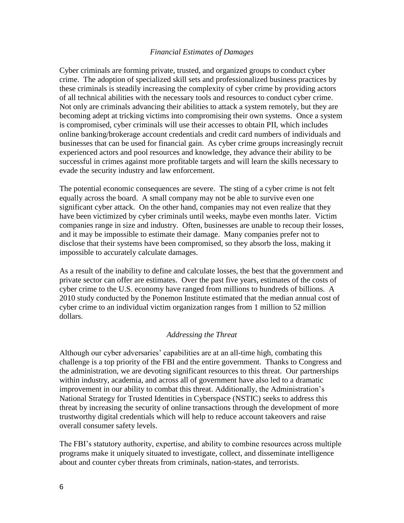#### *Financial Estimates of Damages*

Cyber criminals are forming private, trusted, and organized groups to conduct cyber crime. The adoption of specialized skill sets and professionalized business practices by these criminals is steadily increasing the complexity of cyber crime by providing actors of all technical abilities with the necessary tools and resources to conduct cyber crime. Not only are criminals advancing their abilities to attack a system remotely, but they are becoming adept at tricking victims into compromising their own systems. Once a system is compromised, cyber criminals will use their accesses to obtain PII, which includes online banking/brokerage account credentials and credit card numbers of individuals and businesses that can be used for financial gain. As cyber crime groups increasingly recruit experienced actors and pool resources and knowledge, they advance their ability to be successful in crimes against more profitable targets and will learn the skills necessary to evade the security industry and law enforcement.

The potential economic consequences are severe. The sting of a cyber crime is not felt equally across the board. A small company may not be able to survive even one significant cyber attack. On the other hand, companies may not even realize that they have been victimized by cyber criminals until weeks, maybe even months later. Victim companies range in size and industry. Often, businesses are unable to recoup their losses, and it may be impossible to estimate their damage. Many companies prefer not to disclose that their systems have been compromised, so they absorb the loss, making it impossible to accurately calculate damages.

As a result of the inability to define and calculate losses, the best that the government and private sector can offer are estimates. Over the past five years, estimates of the costs of cyber crime to the U.S. economy have ranged from millions to hundreds of billions. A 2010 study conducted by the Ponemon Institute estimated that the median annual cost of cyber crime to an individual victim organization ranges from 1 million to 52 million dollars.

#### *Addressing the Threat*

Although our cyber adversaries' capabilities are at an all-time high, combating this challenge is a top priority of the FBI and the entire government. Thanks to Congress and the administration, we are devoting significant resources to this threat. Our partnerships within industry, academia, and across all of government have also led to a dramatic improvement in our ability to combat this threat. Additionally, the Administration's National Strategy for Trusted Identities in Cyberspace (NSTIC) seeks to address this threat by increasing the security of online transactions through the development of more trustworthy digital credentials which will help to reduce account takeovers and raise overall consumer safety levels.

The FBI's statutory authority, expertise, and ability to combine resources across multiple programs make it uniquely situated to investigate, collect, and disseminate intelligence about and counter cyber threats from criminals, nation-states, and terrorists.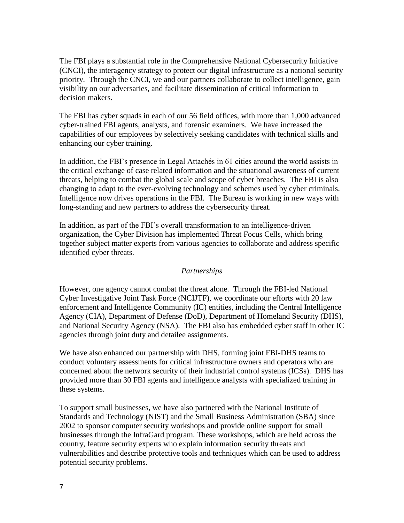The FBI plays a substantial role in the Comprehensive National Cybersecurity Initiative (CNCI), the interagency strategy to protect our digital infrastructure as a national security priority. Through the CNCI, we and our partners collaborate to collect intelligence, gain visibility on our adversaries, and facilitate dissemination of critical information to decision makers.

The FBI has cyber squads in each of our 56 field offices, with more than 1,000 advanced cyber-trained FBI agents, analysts, and forensic examiners. We have increased the capabilities of our employees by selectively seeking candidates with technical skills and enhancing our cyber training.

In addition, the FBI's presence in Legal Attachés in 61 cities around the world assists in the critical exchange of case related information and the situational awareness of current threats, helping to combat the global scale and scope of cyber breaches. The FBI is also changing to adapt to the ever-evolving technology and schemes used by cyber criminals. Intelligence now drives operations in the FBI. The Bureau is working in new ways with long-standing and new partners to address the cybersecurity threat.

In addition, as part of the FBI's overall transformation to an intelligence-driven organization, the Cyber Division has implemented Threat Focus Cells, which bring together subject matter experts from various agencies to collaborate and address specific identified cyber threats.

#### *Partnerships*

However, one agency cannot combat the threat alone. Through the FBI-led National Cyber Investigative Joint Task Force (NCIJTF), we coordinate our efforts with 20 law enforcement and Intelligence Community (IC) entities, including the Central Intelligence Agency (CIA), Department of Defense (DoD), Department of Homeland Security (DHS), and National Security Agency (NSA). The FBI also has embedded cyber staff in other IC agencies through joint duty and detailee assignments.

We have also enhanced our partnership with DHS, forming joint FBI-DHS teams to conduct voluntary assessments for critical infrastructure owners and operators who are concerned about the network security of their industrial control systems (ICSs). DHS has provided more than 30 FBI agents and intelligence analysts with specialized training in these systems.

To support small businesses, we have also partnered with the National Institute of Standards and Technology (NIST) and the Small Business Administration (SBA) since 2002 to sponsor computer security workshops and provide online support for small businesses through the InfraGard program. These workshops, which are held across the country, feature security experts who explain information security threats and vulnerabilities and describe protective tools and techniques which can be used to address potential security problems.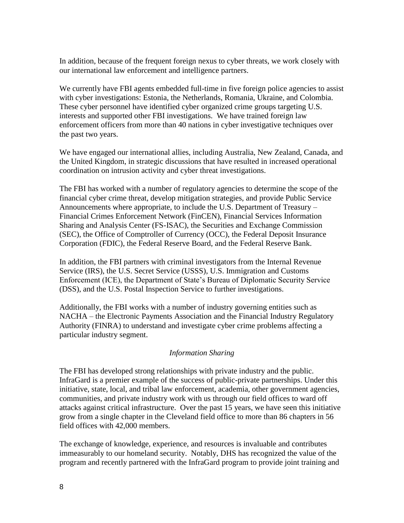In addition, because of the frequent foreign nexus to cyber threats, we work closely with our international law enforcement and intelligence partners.

We currently have FBI agents embedded full-time in five foreign police agencies to assist with cyber investigations: Estonia, the Netherlands, Romania, Ukraine, and Colombia. These cyber personnel have identified cyber organized crime groups targeting U.S. interests and supported other FBI investigations. We have trained foreign law enforcement officers from more than 40 nations in cyber investigative techniques over the past two years.

We have engaged our international allies, including Australia, New Zealand, Canada, and the United Kingdom, in strategic discussions that have resulted in increased operational coordination on intrusion activity and cyber threat investigations.

The FBI has worked with a number of regulatory agencies to determine the scope of the financial cyber crime threat, develop mitigation strategies, and provide Public Service Announcements where appropriate, to include the U.S. Department of Treasury – Financial Crimes Enforcement Network (FinCEN), Financial Services Information Sharing and Analysis Center (FS-ISAC), the Securities and Exchange Commission (SEC), the Office of Comptroller of Currency (OCC), the Federal Deposit Insurance Corporation (FDIC), the Federal Reserve Board, and the Federal Reserve Bank.

In addition, the FBI partners with criminal investigators from the Internal Revenue Service (IRS), the U.S. Secret Service (USSS), U.S. Immigration and Customs Enforcement (ICE), the Department of State's Bureau of Diplomatic Security Service (DSS), and the U.S. Postal Inspection Service to further investigations.

Additionally, the FBI works with a number of industry governing entities such as NACHA – the Electronic Payments Association and the Financial Industry Regulatory Authority (FINRA) to understand and investigate cyber crime problems affecting a particular industry segment.

#### *Information Sharing*

The FBI has developed strong relationships with private industry and the public. InfraGard is a premier example of the success of public-private partnerships. Under this initiative, state, local, and tribal law enforcement, academia, other government agencies, communities, and private industry work with us through our field offices to ward off attacks against critical infrastructure. Over the past 15 years, we have seen this initiative grow from a single chapter in the Cleveland field office to more than 86 chapters in 56 field offices with 42,000 members.

The exchange of knowledge, experience, and resources is invaluable and contributes immeasurably to our homeland security. Notably, DHS has recognized the value of the program and recently partnered with the InfraGard program to provide joint training and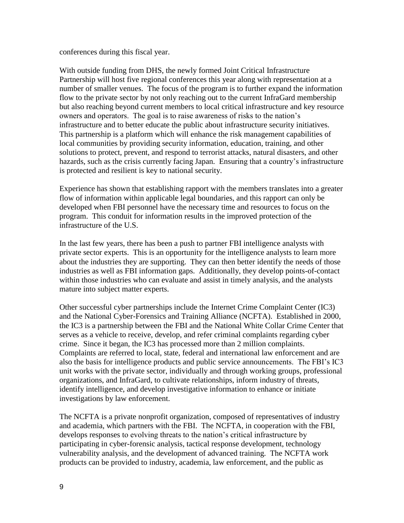conferences during this fiscal year.

With outside funding from DHS, the newly formed Joint Critical Infrastructure Partnership will host five regional conferences this year along with representation at a number of smaller venues. The focus of the program is to further expand the information flow to the private sector by not only reaching out to the current InfraGard membership but also reaching beyond current members to local critical infrastructure and key resource owners and operators. The goal is to raise awareness of risks to the nation's infrastructure and to better educate the public about infrastructure security initiatives. This partnership is a platform which will enhance the risk management capabilities of local communities by providing security information, education, training, and other solutions to protect, prevent, and respond to terrorist attacks, natural disasters, and other hazards, such as the crisis currently facing Japan. Ensuring that a country's infrastructure is protected and resilient is key to national security.

Experience has shown that establishing rapport with the members translates into a greater flow of information within applicable legal boundaries, and this rapport can only be developed when FBI personnel have the necessary time and resources to focus on the program. This conduit for information results in the improved protection of the infrastructure of the U.S.

In the last few years, there has been a push to partner FBI intelligence analysts with private sector experts. This is an opportunity for the intelligence analysts to learn more about the industries they are supporting. They can then better identify the needs of those industries as well as FBI information gaps. Additionally, they develop points-of-contact within those industries who can evaluate and assist in timely analysis, and the analysts mature into subject matter experts.

Other successful cyber partnerships include the Internet Crime Complaint Center (IC3) and the National Cyber-Forensics and Training Alliance (NCFTA). Established in 2000, the IC3 is a partnership between the FBI and the National White Collar Crime Center that serves as a vehicle to receive, develop, and refer criminal complaints regarding cyber crime. Since it began, the IC3 has processed more than 2 million complaints. Complaints are referred to local, state, federal and international law enforcement and are also the basis for intelligence products and public service announcements. The FBI's IC3 unit works with the private sector, individually and through working groups, professional organizations, and InfraGard, to cultivate relationships, inform industry of threats, identify intelligence, and develop investigative information to enhance or initiate investigations by law enforcement.

The NCFTA is a private nonprofit organization, composed of representatives of industry and academia, which partners with the FBI. The NCFTA, in cooperation with the FBI, develops responses to evolving threats to the nation's critical infrastructure by participating in cyber-forensic analysis, tactical response development, technology vulnerability analysis, and the development of advanced training. The NCFTA work products can be provided to industry, academia, law enforcement, and the public as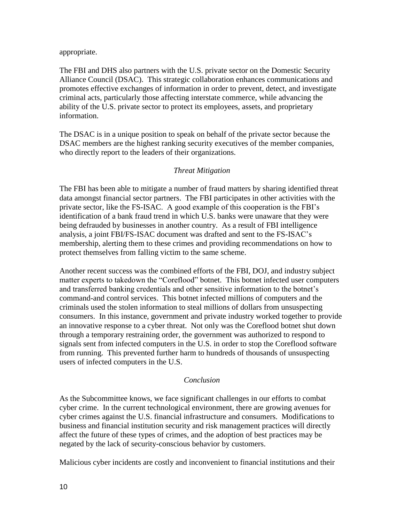appropriate.

The FBI and DHS also partners with the U.S. private sector on the Domestic Security Alliance Council (DSAC). This strategic collaboration enhances communications and promotes effective exchanges of information in order to prevent, detect, and investigate criminal acts, particularly those affecting interstate commerce, while advancing the ability of the U.S. private sector to protect its employees, assets, and proprietary information.

The DSAC is in a unique position to speak on behalf of the private sector because the DSAC members are the highest ranking security executives of the member companies, who directly report to the leaders of their organizations.

#### *Threat Mitigation*

The FBI has been able to mitigate a number of fraud matters by sharing identified threat data amongst financial sector partners. The FBI participates in other activities with the private sector, like the FS-ISAC. A good example of this cooperation is the FBI's identification of a bank fraud trend in which U.S. banks were unaware that they were being defrauded by businesses in another country. As a result of FBI intelligence analysis, a joint FBI/FS-ISAC document was drafted and sent to the FS-ISAC's membership, alerting them to these crimes and providing recommendations on how to protect themselves from falling victim to the same scheme.

Another recent success was the combined efforts of the FBI, DOJ, and industry subject matter experts to takedown the "Coreflood" botnet. This botnet infected user computers and transferred banking credentials and other sensitive information to the botnet's command-and control services. This botnet infected millions of computers and the criminals used the stolen information to steal millions of dollars from unsuspecting consumers. In this instance, government and private industry worked together to provide an innovative response to a cyber threat. Not only was the Coreflood botnet shut down through a temporary restraining order, the government was authorized to respond to signals sent from infected computers in the U.S. in order to stop the Coreflood software from running. This prevented further harm to hundreds of thousands of unsuspecting users of infected computers in the U.S.

#### *Conclusion*

As the Subcommittee knows, we face significant challenges in our efforts to combat cyber crime. In the current technological environment, there are growing avenues for cyber crimes against the U.S. financial infrastructure and consumers. Modifications to business and financial institution security and risk management practices will directly affect the future of these types of crimes, and the adoption of best practices may be negated by the lack of security-conscious behavior by customers.

Malicious cyber incidents are costly and inconvenient to financial institutions and their